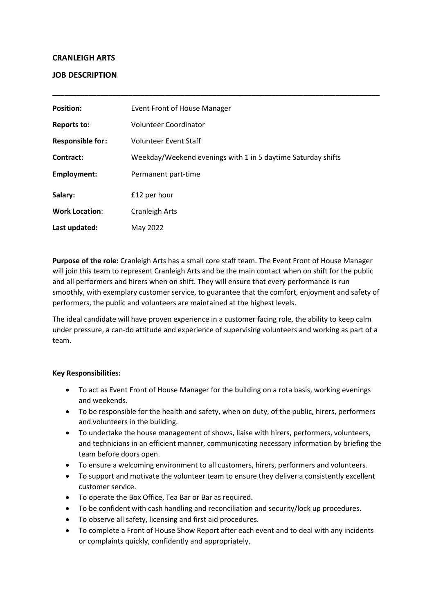# **CRANLEIGH ARTS**

# **JOB DESCRIPTION**

| <b>Position:</b>        | Event Front of House Manager                                 |
|-------------------------|--------------------------------------------------------------|
| <b>Reports to:</b>      | Volunteer Coordinator                                        |
| <b>Responsible for:</b> | <b>Volunteer Event Staff</b>                                 |
| Contract:               | Weekday/Weekend evenings with 1 in 5 daytime Saturday shifts |
| <b>Employment:</b>      | Permanent part-time                                          |
| Salary:                 | £12 per hour                                                 |
| <b>Work Location:</b>   | Cranleigh Arts                                               |
| Last updated:           | May 2022                                                     |

**\_\_\_\_\_\_\_\_\_\_\_\_\_\_\_\_\_\_\_\_\_\_\_\_\_\_\_\_\_\_\_\_\_\_\_\_\_\_\_\_\_\_\_\_\_\_\_\_\_\_\_\_\_\_\_\_\_\_\_\_\_\_\_\_\_\_\_\_\_\_\_\_\_\_\_\_\_\_\_\_\_\_**

**Purpose of the role:** Cranleigh Arts has a small core staff team. The Event Front of House Manager will join this team to represent Cranleigh Arts and be the main contact when on shift for the public and all performers and hirers when on shift. They will ensure that every performance is run smoothly, with exemplary customer service, to guarantee that the comfort, enjoyment and safety of performers, the public and volunteers are maintained at the highest levels.

The ideal candidate will have proven experience in a customer facing role, the ability to keep calm under pressure, a can-do attitude and experience of supervising volunteers and working as part of a team.

# **Key Responsibilities:**

- To act as Event Front of House Manager for the building on a rota basis, working evenings and weekends.
- To be responsible for the health and safety, when on duty, of the public, hirers, performers and volunteers in the building.
- To undertake the house management of shows, liaise with hirers, performers, volunteers, and technicians in an efficient manner, communicating necessary information by briefing the team before doors open.
- To ensure a welcoming environment to all customers, hirers, performers and volunteers.
- To support and motivate the volunteer team to ensure they deliver a consistently excellent customer service.
- To operate the Box Office, Tea Bar or Bar as required.
- To be confident with cash handling and reconciliation and security/lock up procedures.
- To observe all safety, licensing and first aid procedures.
- To complete a Front of House Show Report after each event and to deal with any incidents or complaints quickly, confidently and appropriately.